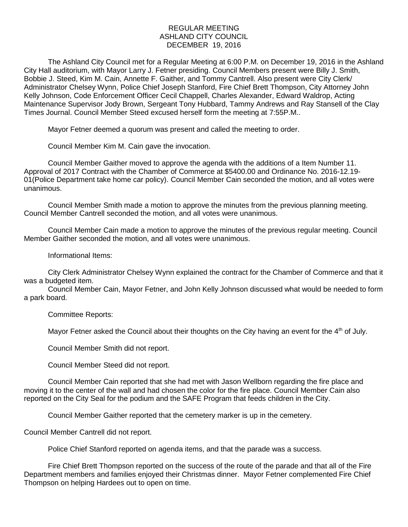## REGULAR MEETING ASHLAND CITY COUNCIL DECEMBER 19, 2016

The Ashland City Council met for a Regular Meeting at 6:00 P.M. on December 19, 2016 in the Ashland City Hall auditorium, with Mayor Larry J. Fetner presiding. Council Members present were Billy J. Smith, Bobbie J. Steed, Kim M. Cain, Annette F. Gaither, and Tommy Cantrell. Also present were City Clerk/ Administrator Chelsey Wynn, Police Chief Joseph Stanford, Fire Chief Brett Thompson, City Attorney John Kelly Johnson, Code Enforcement Officer Cecil Chappell, Charles Alexander, Edward Waldrop, Acting Maintenance Supervisor Jody Brown, Sergeant Tony Hubbard, Tammy Andrews and Ray Stansell of the Clay Times Journal. Council Member Steed excused herself form the meeting at 7:55P.M..

Mayor Fetner deemed a quorum was present and called the meeting to order.

Council Member Kim M. Cain gave the invocation.

Council Member Gaither moved to approve the agenda with the additions of a Item Number 11. Approval of 2017 Contract with the Chamber of Commerce at \$5400.00 and Ordinance No. 2016-12.19- 01(Police Department take home car policy). Council Member Cain seconded the motion, and all votes were unanimous.

Council Member Smith made a motion to approve the minutes from the previous planning meeting. Council Member Cantrell seconded the motion, and all votes were unanimous.

Council Member Cain made a motion to approve the minutes of the previous regular meeting. Council Member Gaither seconded the motion, and all votes were unanimous.

Informational Items:

City Clerk Administrator Chelsey Wynn explained the contract for the Chamber of Commerce and that it was a budgeted item.

Council Member Cain, Mayor Fetner, and John Kelly Johnson discussed what would be needed to form a park board.

Committee Reports:

Mayor Fetner asked the Council about their thoughts on the City having an event for the  $4<sup>th</sup>$  of July.

Council Member Smith did not report.

Council Member Steed did not report.

Council Member Cain reported that she had met with Jason Wellborn regarding the fire place and moving it to the center of the wall and had chosen the color for the fire place. Council Member Cain also reported on the City Seal for the podium and the SAFE Program that feeds children in the City.

Council Member Gaither reported that the cemetery marker is up in the cemetery.

Council Member Cantrell did not report.

Police Chief Stanford reported on agenda items, and that the parade was a success.

Fire Chief Brett Thompson reported on the success of the route of the parade and that all of the Fire Department members and families enjoyed their Christmas dinner. Mayor Fetner complemented Fire Chief Thompson on helping Hardees out to open on time.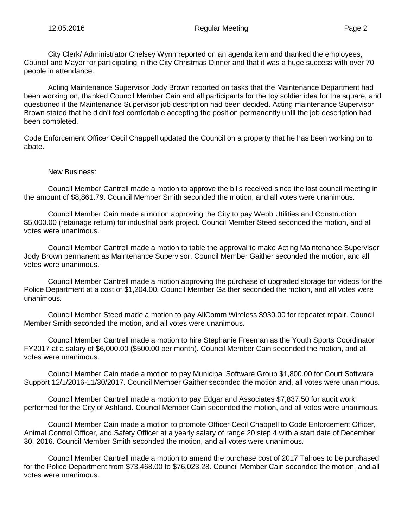City Clerk/ Administrator Chelsey Wynn reported on an agenda item and thanked the employees, Council and Mayor for participating in the City Christmas Dinner and that it was a huge success with over 70 people in attendance.

Acting Maintenance Supervisor Jody Brown reported on tasks that the Maintenance Department had been working on, thanked Council Member Cain and all participants for the toy soldier idea for the square, and questioned if the Maintenance Supervisor job description had been decided. Acting maintenance Supervisor Brown stated that he didn't feel comfortable accepting the position permanently until the job description had been completed.

Code Enforcement Officer Cecil Chappell updated the Council on a property that he has been working on to abate.

## New Business:

Council Member Cantrell made a motion to approve the bills received since the last council meeting in the amount of \$8,861.79. Council Member Smith seconded the motion, and all votes were unanimous.

Council Member Cain made a motion approving the City to pay Webb Utilities and Construction \$5,000.00 (retainage return) for industrial park project. Council Member Steed seconded the motion, and all votes were unanimous.

Council Member Cantrell made a motion to table the approval to make Acting Maintenance Supervisor Jody Brown permanent as Maintenance Supervisor. Council Member Gaither seconded the motion, and all votes were unanimous.

Council Member Cantrell made a motion approving the purchase of upgraded storage for videos for the Police Department at a cost of \$1,204.00. Council Member Gaither seconded the motion, and all votes were unanimous.

Council Member Steed made a motion to pay AllComm Wireless \$930.00 for repeater repair. Council Member Smith seconded the motion, and all votes were unanimous.

Council Member Cantrell made a motion to hire Stephanie Freeman as the Youth Sports Coordinator FY2017 at a salary of \$6,000.00 (\$500.00 per month). Council Member Cain seconded the motion, and all votes were unanimous.

Council Member Cain made a motion to pay Municipal Software Group \$1,800.00 for Court Software Support 12/1/2016-11/30/2017. Council Member Gaither seconded the motion and, all votes were unanimous.

Council Member Cantrell made a motion to pay Edgar and Associates \$7,837.50 for audit work performed for the City of Ashland. Council Member Cain seconded the motion, and all votes were unanimous.

Council Member Cain made a motion to promote Officer Cecil Chappell to Code Enforcement Officer, Animal Control Officer, and Safety Officer at a yearly salary of range 20 step 4 with a start date of December 30, 2016. Council Member Smith seconded the motion, and all votes were unanimous.

Council Member Cantrell made a motion to amend the purchase cost of 2017 Tahoes to be purchased for the Police Department from \$73,468.00 to \$76,023.28. Council Member Cain seconded the motion, and all votes were unanimous.